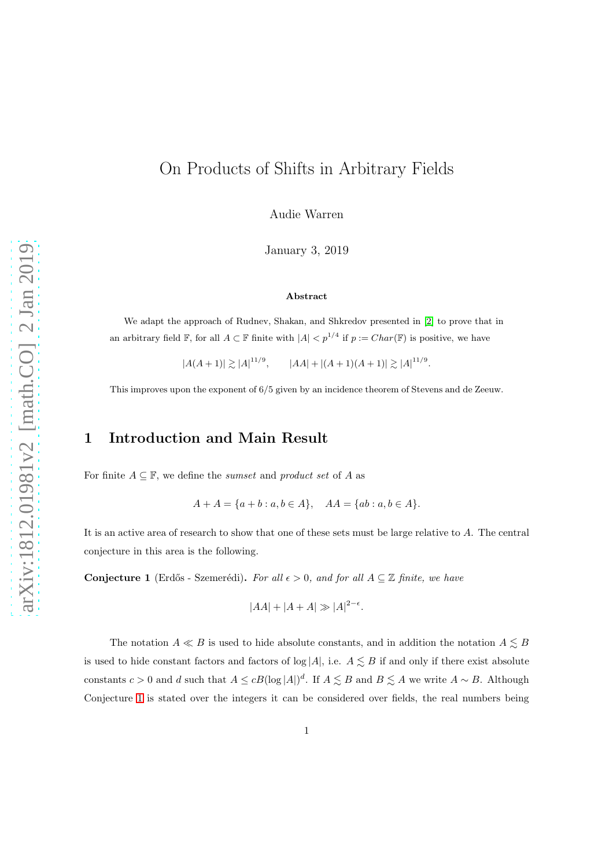# On Products of Shifts in Arbitrary Fields

Audie Warren

January 3, 2019

#### Abstract

We adapt the approach of Rudnev, Shakan, and Shkredov presented in [\[2\]](#page-15-0) to prove that in an arbitrary field F, for all  $A \subset \mathbb{F}$  finite with  $|A| < p^{1/4}$  if  $p := Char(\mathbb{F})$  is positive, we have

 $|A(A+1)| \gtrsim |A|^{11/9}, \qquad |AA| + |(A+1)(A+1)| \gtrsim |A|^{11/9}.$ 

This improves upon the exponent of 6/5 given by an incidence theorem of Stevens and de Zeeuw.

### 1 Introduction and Main Result

For finite  $A \subseteq \mathbb{F}$ , we define the *sumset* and *product set* of A as

$$
A + A = \{a + b : a, b \in A\}, \quad AA = \{ab : a, b \in A\}.
$$

It is an active area of research to show that one of these sets must be large relative to A. The central conjecture in this area is the following.

<span id="page-0-0"></span>Conjecture 1 (Erdős - Szemerédi). For all  $\epsilon > 0$ , and for all  $A \subseteq \mathbb{Z}$  finite, we have

$$
|AA| + |A + A| \gg |A|^{2-\epsilon}.
$$

The notation  $A \ll B$  is used to hide absolute constants, and in addition the notation  $A \lesssim B$ is used to hide constant factors and factors of  $log|A|$ , i.e.  $A \lesssim B$  if and only if there exist absolute constants  $c > 0$  and d such that  $A \leq cB(\log|A|)^d$ . If  $A \leq B$  and  $B \leq A$  we write  $A \sim B$ . Although Conjecture [1](#page-0-0) is stated over the integers it can be considered over fields, the real numbers being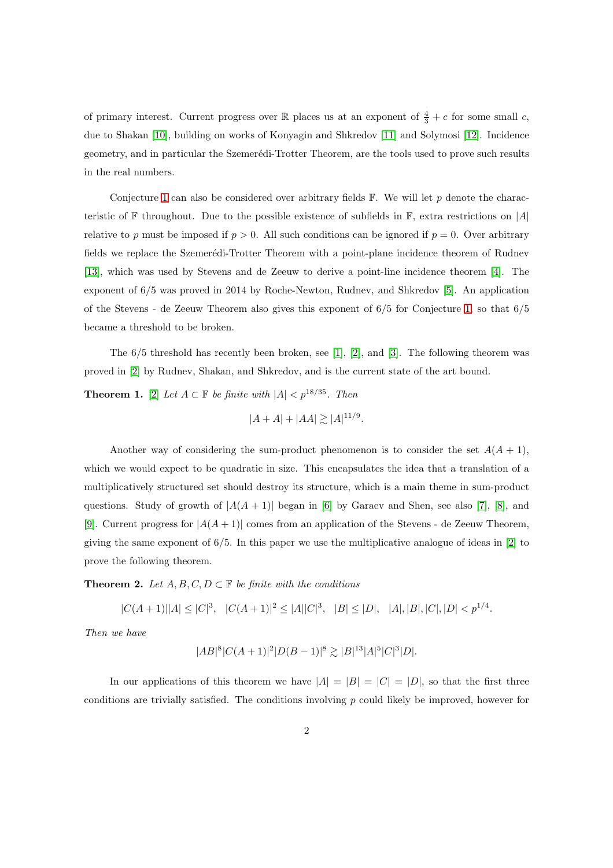of primary interest. Current progress over  $\mathbb R$  places us at an exponent of  $\frac{4}{3} + c$  for some small c, due to Shakan [\[10\]](#page-15-1), building on works of Konyagin and Shkredov [\[11\]](#page-15-2) and Solymosi [\[12\]](#page-16-0). Incidence geometry, and in particular the Szemerédi-Trotter Theorem, are the tools used to prove such results in the real numbers.

Conjecture [1](#page-0-0) can also be considered over arbitrary fields  $\mathbb{F}$ . We will let p denote the characteristic of F throughout. Due to the possible existence of subfields in F, extra restrictions on  $|A|$ relative to p must be imposed if  $p > 0$ . All such conditions can be ignored if  $p = 0$ . Over arbitrary fields we replace the Szemerédi-Trotter Theorem with a point-plane incidence theorem of Rudnev [\[13\]](#page-16-1), which was used by Stevens and de Zeeuw to derive a point-line incidence theorem [\[4\]](#page-15-3). The exponent of 6/5 was proved in 2014 by Roche-Newton, Rudnev, and Shkredov [\[5\]](#page-15-4). An application of the Stevens - de Zeeuw Theorem also gives this exponent of 6/5 for Conjecture [1,](#page-0-0) so that 6/5 became a threshold to be broken.

The  $6/5$  threshold has recently been broken, see [\[1\]](#page-15-5), [\[2\]](#page-15-0), and [\[3\]](#page-15-6). The following theorem was proved in [\[2\]](#page-15-0) by Rudnev, Shakan, and Shkredov, and is the current state of the art bound.

<span id="page-1-1"></span>**Theorem 1.** [\[2\]](#page-15-0) Let  $A \subset \mathbb{F}$  be finite with  $|A| < p^{18/35}$ . Then

 $|A + A| + |AA| \gtrsim |A|^{11/9}.$ 

Another way of considering the sum-product phenomenon is to consider the set  $A(A + 1)$ , which we would expect to be quadratic in size. This encapsulates the idea that a translation of a multiplicatively structured set should destroy its structure, which is a main theme in sum-product questions. Study of growth of  $|A(A + 1)|$  began in [\[6\]](#page-15-7) by Garaev and Shen, see also [\[7\]](#page-15-8), [\[8\]](#page-15-9), and [\[9\]](#page-15-10). Current progress for  $|A(A + 1)|$  comes from an application of the Stevens - de Zeeuw Theorem, giving the same exponent of 6/5. In this paper we use the multiplicative analogue of ideas in [\[2\]](#page-15-0) to prove the following theorem.

<span id="page-1-0"></span>**Theorem 2.** Let  $A, B, C, D \subset \mathbb{F}$  be finite with the conditions

 $|C(A+1)||A| \leq |C|^3$ ,  $|C(A+1)|^2 \leq |A||C|^3$ ,  $|B| \leq |D|$ ,  $|A|, |B|, |C|, |D| < p^{1/4}$ .

Then we have

 $|AB|^8|C(A+1)|^2|D(B-1)|^8 \gtrsim |B|^{13}|A|^5|C|^3|D|.$ 

In our applications of this theorem we have  $|A| = |B| = |C| = |D|$ , so that the first three conditions are trivially satisfied. The conditions involving  $p$  could likely be improved, however for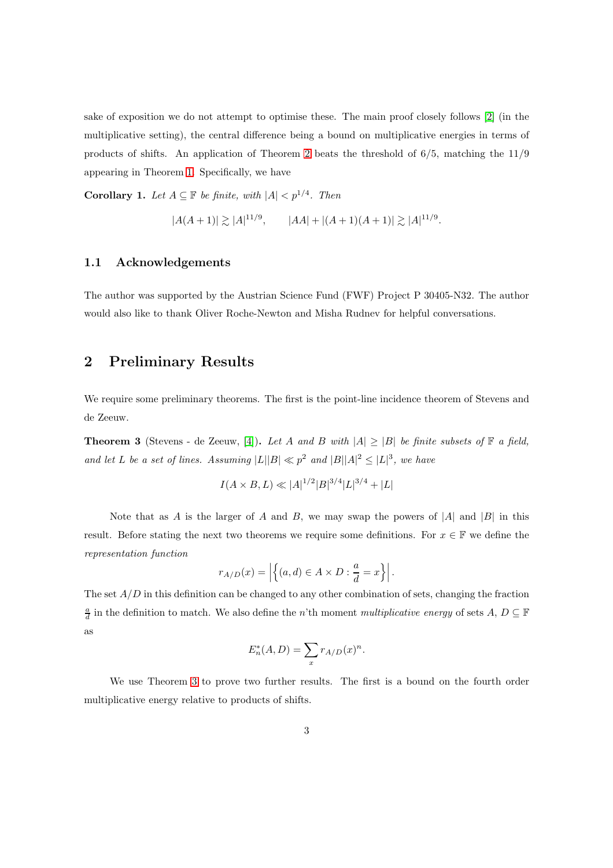sake of exposition we do not attempt to optimise these. The main proof closely follows [\[2\]](#page-15-0) (in the multiplicative setting), the central difference being a bound on multiplicative energies in terms of products of shifts. An application of Theorem [2](#page-1-0) beats the threshold of 6/5, matching the 11/9 appearing in Theorem [1.](#page-1-1) Specifically, we have

<span id="page-2-1"></span>**Corollary 1.** Let  $A \subseteq \mathbb{F}$  be finite, with  $|A| < p^{1/4}$ . Then

$$
|A(A+1)| \gtrsim |A|^{11/9}, \qquad |AA| + |(A+1)(A+1)| \gtrsim |A|^{11/9}.
$$

#### 1.1 Acknowledgements

The author was supported by the Austrian Science Fund (FWF) Project P 30405-N32. The author would also like to thank Oliver Roche-Newton and Misha Rudnev for helpful conversations.

## 2 Preliminary Results

We require some preliminary theorems. The first is the point-line incidence theorem of Stevens and de Zeeuw.

<span id="page-2-0"></span>**Theorem 3** (Stevens - de Zeeuw, [\[4\]](#page-15-3)). Let A and B with  $|A| \geq |B|$  be finite subsets of  $\mathbb{F}$  a field, and let L be a set of lines. Assuming  $|L||B| \ll p^2$  and  $|B||A|^2 \leq |L|^3$ , we have

$$
I(A \times B, L) \ll |A|^{1/2} |B|^{3/4} |L|^{3/4} + |L|
$$

Note that as A is the larger of A and B, we may swap the powers of  $|A|$  and  $|B|$  in this result. Before stating the next two theorems we require some definitions. For  $x \in \mathbb{F}$  we define the representation function

$$
r_{A/D}(x) = \left| \left\{ (a,d) \in A \times D : \frac{a}{d} = x \right\} \right|.
$$

The set  $A/D$  in this definition can be changed to any other combination of sets, changing the fraction  $\frac{a}{d}$  in the definition to match. We also define the n'th moment multiplicative energy of sets A,  $D \subseteq \mathbb{F}$ as

$$
E_n^*(A, D) = \sum_x r_{A/D}(x)^n.
$$

We use Theorem [3](#page-2-0) to prove two further results. The first is a bound on the fourth order multiplicative energy relative to products of shifts.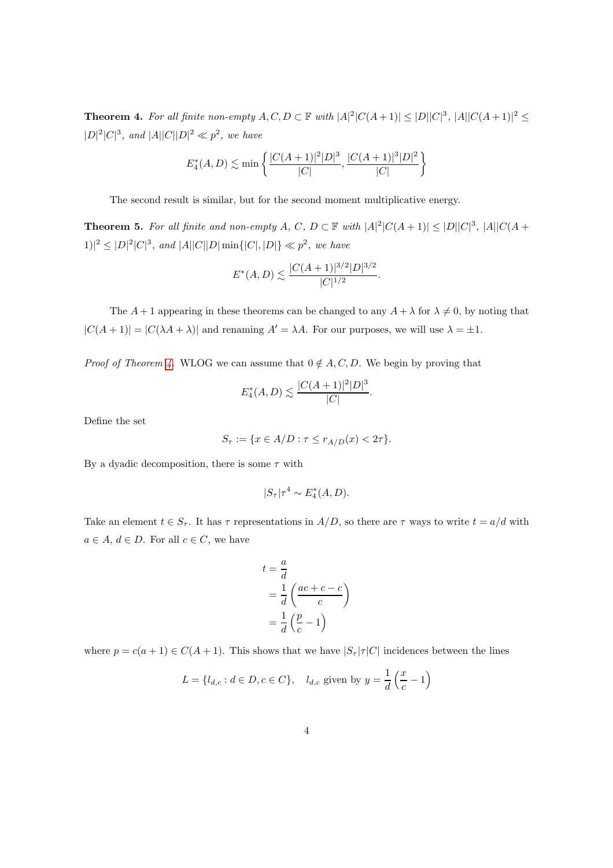<span id="page-3-0"></span>**Theorem 4.** For all finite non-empty  $A, C, D \subset \mathbb{F}$  with  $|A|^2|C(A+1)| \leq |D||C|^3$ ,  $|A||C(A+1)|^2 \leq$  $|D|^2|C|^3$ , and  $|A||C||D|^2 \ll p^2$ , we have

$$
E_4^*(A, D) \lesssim \min \left\{ \frac{|C(A+1)|^2 |D|^3}{|C|}, \frac{|C(A+1)|^3 |D|^2}{|C|} \right\}
$$

The second result is similar, but for the second moment multiplicative energy.

<span id="page-3-1"></span>**Theorem 5.** For all finite and non-empty A, C,  $D \subset \mathbb{F}$  with  $|A|^2|C(A+1)| \leq |D||C|^3$ ,  $|A||C(A+1)| \leq |B||C|^4$  $|1\rangle|^2 \leq |D|^2|C|^3$ , and  $|A||C||D|\min\{|C|,|D|\} \ll p^2$ , we have

$$
E^*(A, D) \lesssim \frac{|C(A+1)|^{3/2}|D|^{3/2}}{|C|^{1/2}}.
$$

The  $A + 1$  appearing in these theorems can be changed to any  $A + \lambda$  for  $\lambda \neq 0$ , by noting that  $|C(A+1)| = |C(\lambda A + \lambda)|$  and renaming  $A' = \lambda A$ . For our purposes, we will use  $\lambda = \pm 1$ .

*Proof of Theorem [4.](#page-3-0)* WLOG we can assume that  $0 \notin A, C, D$ . We begin by proving that

$$
E_4^*(A, D) \lesssim \frac{|C(A+1)|^2|D|^3}{|C|}.
$$

Define the set

$$
S_{\tau} := \{ x \in A/D : \tau \le r_{A/D}(x) < 2\tau \}.
$$

By a dyadic decomposition, there is some  $\tau$  with

$$
|S_\tau|\tau^4 \sim E_4^*(A, D).
$$

Take an element  $t \in S_{\tau}$ . It has  $\tau$  representations in  $A/D$ , so there are  $\tau$  ways to write  $t = a/d$  with  $a \in A, d \in D$ . For all  $c \in C$ , we have

$$
t = \frac{a}{d}
$$
  
=  $\frac{1}{d} \left( \frac{ac + c - c}{c} \right)$   
=  $\frac{1}{d} \left( \frac{p}{c} - 1 \right)$ 

where  $p = c(a + 1) \in C(A + 1)$ . This shows that we have  $|S_\tau|\tau|C|$  incidences between the lines

$$
L = \{ l_{d,c} : d \in D, c \in C \}, \quad l_{d,c} \text{ given by } y = \frac{1}{d} \left( \frac{x}{c} - 1 \right)
$$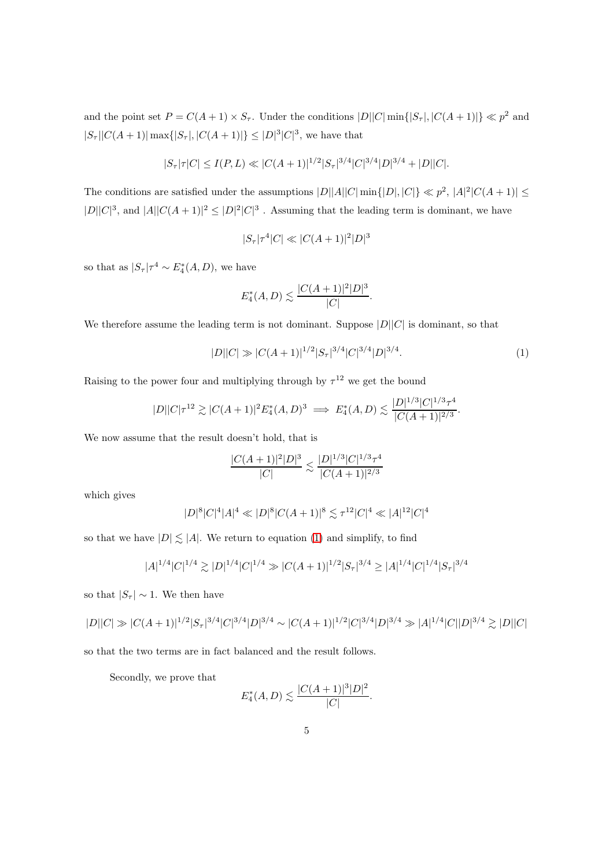and the point set  $P = C(A+1) \times S_{\tau}$ . Under the conditions  $|D||C| \min\{|S_{\tau}|, |C(A+1)|\} \ll p^2$  and  $|S_{\tau}| |C(A+1)| \max\{|S_{\tau}|,|C(A+1)|\} \leq |D|^3 |C|^3$ , we have that

$$
|S_{\tau}|\tau|C| \le I(P,L) \ll |C(A+1)|^{1/2}|S_{\tau}|^{3/4}|C|^{3/4}|D|^{3/4} + |D||C|.
$$

The conditions are satisfied under the assumptions  $|D||A||C|$  min $\{|D|, |C|\} \ll p^2$ ,  $|A|^2|C(A+1)| \le$  $|D||C|^3$ , and  $|A||C(A+1)|^2 \leq |D|^2|C|^3$ . Assuming that the leading term is dominant, we have

$$
|S_{\tau}|\tau^4|C| \ll |C(A+1)|^2|D|^3
$$

so that as  $|S_\tau|\tau^4 \sim E_4^*(A, D)$ , we have

$$
E_4^*(A, D) \lesssim \frac{|C(A+1)|^2|D|^3}{|C|}.
$$

We therefore assume the leading term is not dominant. Suppose  $|D||C|$  is dominant, so that

<span id="page-4-0"></span>
$$
|D||C| \gg |C(A+1)|^{1/2} |S_{\tau}|^{3/4} |C|^{3/4} |D|^{3/4}.
$$
 (1)

Raising to the power four and multiplying through by  $\tau^{12}$  we get the bound

$$
|D||C|\tau^{12} \gtrsim |C(A+1)|^2 E_4^*(A, D)^3 \implies E_4^*(A, D) \lesssim \frac{|D|^{1/3}|C|^{1/3}\tau^4}{|C(A+1)|^{2/3}}.
$$

We now assume that the result doesn't hold, that is

$$
\frac{|C(A+1)|^2|D|^3}{|C|} \lesssim \frac{|D|^{1/3}|C|^{1/3}\tau^4}{|C(A+1)|^{2/3}}
$$

which gives

$$
|D|^8|C|^4|A|^4 \ll |D|^8|C(A+1)|^8 \lesssim \tau^{12}|C|^4 \ll |A|^{12}|C|^4
$$

so that we have  $|D| \leq |A|$ . We return to equation [\(1\)](#page-4-0) and simplify, to find

$$
|A|^{1/4}|C|^{1/4} \gtrsim |D|^{1/4}|C|^{1/4} \gg |C(A+1)|^{1/2}|S_{\tau}|^{3/4} \ge |A|^{1/4}|C|^{1/4}|S_{\tau}|^{3/4}
$$

so that  $|S_\tau| \sim 1$ . We then have

$$
|D||C| \gg |C(A+1)|^{1/2}|S_{\tau}|^{3/4}|C|^{3/4}|D|^{3/4} \sim |C(A+1)|^{1/2}|C|^{3/4}|D|^{3/4} \gg |A|^{1/4}|C||D|^{3/4} \gtrsim |D||C|
$$

so that the two terms are in fact balanced and the result follows.

Secondly, we prove that

$$
E_4^*(A, D) \lesssim \frac{|C(A+1)|^3|D|^2}{|C|}.
$$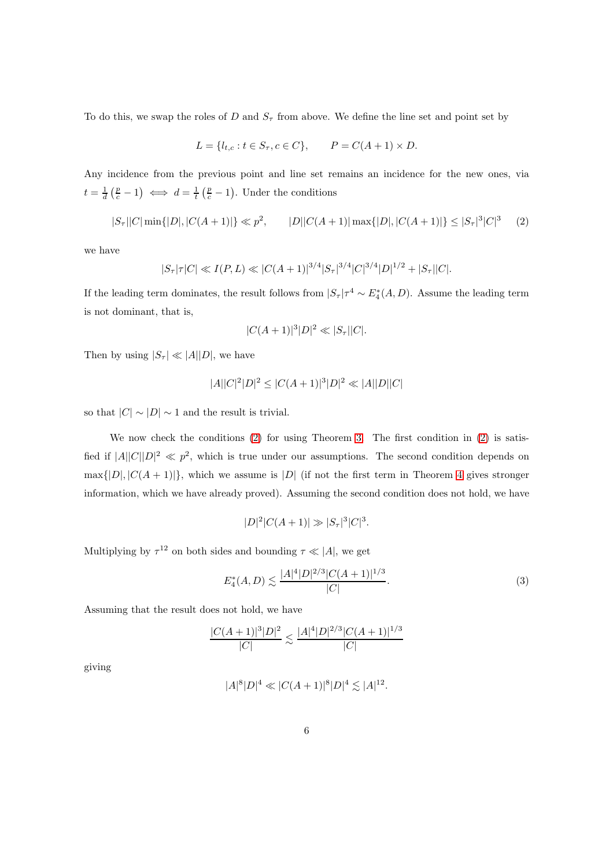To do this, we swap the roles of D and  $S<sub>\tau</sub>$  from above. We define the line set and point set by

$$
L = \{l_{t,c} : t \in S_{\tau}, c \in C\}, \qquad P = C(A+1) \times D.
$$

Any incidence from the previous point and line set remains an incidence for the new ones, via  $t = \frac{1}{d} \left( \frac{p}{c} - 1 \right) \iff d = \frac{1}{t} \left( \frac{p}{c} - 1 \right)$ . Under the conditions

<span id="page-5-0"></span>
$$
|S_{\tau}||C|\min\{|D|,|C(A+1)|\} \ll p^2, \qquad |D||C(A+1)|\max\{|D|,|C(A+1)|\} \le |S_{\tau}|^3|C|^3 \tag{2}
$$

we have

$$
|S_{\tau}|\tau|C| \ll I(P, L) \ll |C(A+1)|^{3/4} |S_{\tau}|^{3/4} |C|^{3/4} |D|^{1/2} + |S_{\tau}| |C|.
$$

If the leading term dominates, the result follows from  $|S_\tau|\tau^4 \sim E_4^*(A, D)$ . Assume the leading term is not dominant, that is,

$$
|C(A+1)|^3|D|^2 \ll |S_\tau||C|.
$$

Then by using  $|S_\tau| \ll |A||D|$ , we have

$$
|A||C|^2|D|^2 \leq |C(A+1)|^3|D|^2 \ll |A||D||C|
$$

so that  $|C| \sim |D| \sim 1$  and the result is trivial.

We now check the conditions [\(2\)](#page-5-0) for using Theorem [3.](#page-2-0) The first condition in [\(2\)](#page-5-0) is satisfied if  $|A||C||D|^2 \ll p^2$ , which is true under our assumptions. The second condition depends on  $\max\{|D|, |C(A+1)|\}$ , which we assume is |D| (if not the first term in Theorem [4](#page-3-0) gives stronger information, which we have already proved). Assuming the second condition does not hold, we have

$$
|D|^2|C(A+1)| \gg |S_\tau|^3|C|^3.
$$

Multiplying by  $\tau^{12}$  on both sides and bounding  $\tau \ll |A|$ , we get

<span id="page-5-1"></span>
$$
E_4^*(A, D) \lesssim \frac{|A|^4 |D|^{2/3} |C(A+1)|^{1/3}}{|C|}.
$$
 (3)

Assuming that the result does not hold, we have

$$
\frac{|C(A+1)|^3|D|^2}{|C|} \lesssim \frac{|A|^4|D|^{2/3}|C(A+1)|^{1/3}}{|C|}
$$

giving

$$
|A|^8|D|^4 \ll |C(A+1)|^8|D|^4 \lesssim |A|^{12}.
$$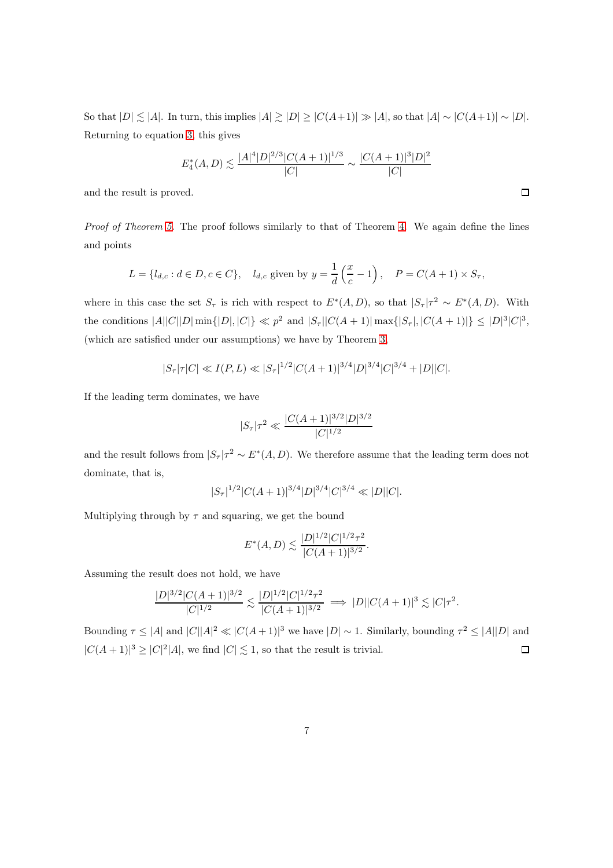So that  $|D| \lesssim |A|$ . In turn, this implies  $|A| \gtrsim |D| \geq |C(A+1)| \gg |A|$ , so that  $|A| \sim |C(A+1)| \sim |D|$ . Returning to equation [3,](#page-5-1) this gives

$$
E_4^*(A, D) \lesssim \frac{|A|^4 |D|^{2/3} |C(A+1)|^{1/3}}{|C|} \sim \frac{|C(A+1)|^3 |D|^2}{|C|}
$$

and the result is proved.

Proof of Theorem [5.](#page-3-1) The proof follows similarly to that of Theorem [4.](#page-3-0) We again define the lines and points

$$
L = \{l_{d,c} : d \in D, c \in C\}, \quad l_{d,c} \text{ given by } y = \frac{1}{d} \left(\frac{x}{c} - 1\right), \quad P = C(A+1) \times S_{\tau},
$$

where in this case the set  $S_{\tau}$  is rich with respect to  $E^*(A, D)$ , so that  $|S_{\tau}| \tau^2 \sim E^*(A, D)$ . With the conditions  $|A||C||D|\min\{|D|,|C|\} \ll p^2$  and  $|S_{\tau}||C(A+1)|\max\{|S_{\tau}|,|C(A+1)|\} \leq |D|^3|C|^3$ , (which are satisfied under our assumptions) we have by Theorem [3,](#page-2-0)

$$
|S_{\tau}|\tau|C| \ll I(P, L) \ll |S_{\tau}|^{1/2} |C(A+1)|^{3/4} |D|^{3/4} |C|^{3/4} + |D||C|.
$$

If the leading term dominates, we have

$$
|S_{\tau}|\tau^2 \ll \frac{|C(A+1)|^{3/2}|D|^{3/2}}{|C|^{1/2}}
$$

and the result follows from  $|S_\tau| \tau^2 \sim E^*(A, D)$ . We therefore assume that the leading term does not dominate, that is,

$$
|S_{\tau}|^{1/2}|C(A+1)|^{3/4}|D|^{3/4}|C|^{3/4}\ll |D||C|.
$$

Multiplying through by  $\tau$  and squaring, we get the bound

$$
E^*(A, D) \lesssim \frac{|D|^{1/2} |C|^{1/2} \tau^2}{|C(A+1)|^{3/2}}
$$

.

Assuming the result does not hold, we have

$$
\frac{|D|^{3/2}|C(A+1)|^{3/2}}{|C|^{1/2}} \lesssim \frac{|D|^{1/2}|C|^{1/2}\tau^2}{|C(A+1)|^{3/2}} \implies |D||C(A+1)|^3 \lesssim |C|\tau^2.
$$

Bounding  $\tau \leq |A|$  and  $|C||A|^2 \ll |C(A+1)|^3$  we have  $|D| \sim 1$ . Similarly, bounding  $\tau^2 \leq |A||D|$  and  $\Box$  $|C(A+1)|^3 \geq |C|^2|A|$ , we find  $|C| \lesssim 1$ , so that the result is trivial.

 $\Box$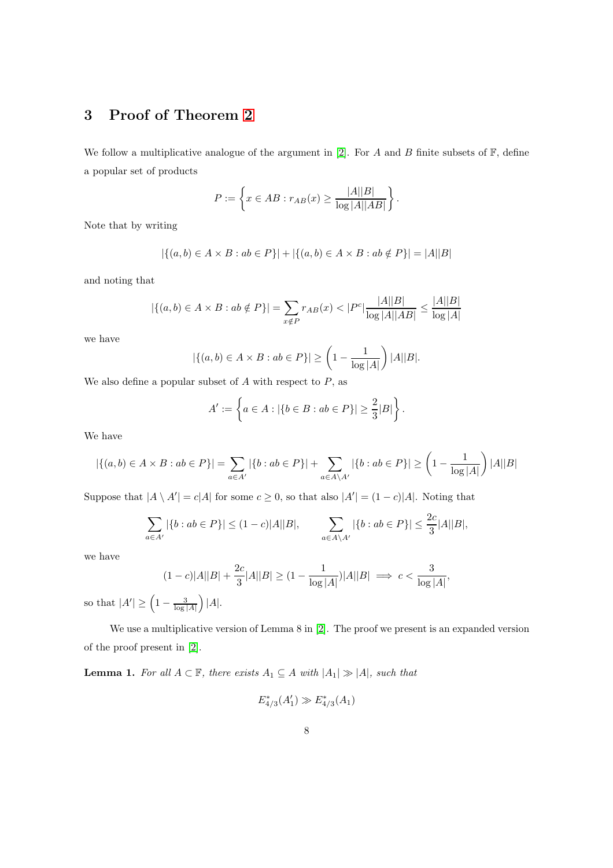## 3 Proof of Theorem [2](#page-1-0)

We follow a multiplicative analogue of the argument in [\[2\]](#page-15-0). For A and B finite subsets of  $\mathbb{F}$ , define a popular set of products

$$
P := \left\{ x \in AB : r_{AB}(x) \ge \frac{|A||B|}{\log |A||AB|} \right\}.
$$

Note that by writing

$$
|\{(a,b)\in A\times B:ab\in P\}|+|\{(a,b)\in A\times B:ab\notin P\}|=|A||B|
$$

and noting that

$$
|\{(a,b)\in A\times B: ab\notin P\}| = \sum_{x\notin P} r_{AB}(x) < |P^c| \frac{|A||B|}{\log |A||AB|} \le \frac{|A||B|}{\log |A|}
$$

we have

$$
|\{(a,b)\in A\times B : ab\in P\}| \ge \left(1 - \frac{1}{\log|A|}\right)|A||B|.
$$

We also define a popular subset of  $A$  with respect to  $P$ , as

$$
A' := \left\{ a \in A : |\{b \in B : ab \in P\}| \ge \frac{2}{3}|B|\right\}.
$$

We have

$$
|\{(a,b)\in A\times B: ab\in P\}| = \sum_{a\in A'} |\{b: ab\in P\}| + \sum_{a\in A\setminus A'} |\{b: ab\in P\}| \ge \left(1 - \frac{1}{\log|A|}\right)|A||B|
$$

Suppose that  $|A \setminus A'| = c|A|$  for some  $c \geq 0$ , so that also  $|A'| = (1 - c)|A|$ . Noting that

$$
\sum_{a \in A'} |\{b: ab \in P\}| \le (1 - c)|A||B|, \qquad \sum_{a \in A \backslash A'} |\{b: ab \in P\}| \le \frac{2c}{3}|A||B|,
$$

we have

$$
(1 - c)|A||B| + \frac{2c}{3}|A||B| \ge (1 - \frac{1}{\log|A|})|A||B| \implies c < \frac{3}{\log|A|},
$$
\n
$$
\frac{1}{\log|A|} \le (1 - \frac{3}{\log|A|})|A||B| \implies |A| \le (1 - \frac{3}{\log|A|})|A||B| \implies |A| \le (1 - \frac{3}{\log|A|})|A||B| \implies |A| \le (1 - \frac{3}{\log|A|})|A||B| \implies |A| \le (1 - \frac{3}{\log|A|})|A||B| \implies |A| \le (1 - \frac{3}{\log|A|})|A||B| \implies |A| \le (1 - \frac{3}{\log|A|})|A||B| \implies |A| \le (1 - \frac{3}{\log|A|})|A||B| \implies |A| \le (1 - \frac{3}{\log|A|})|A||B| \implies |A| \le (1 - \frac{3}{\log|A|})|A||B| \implies |A| \le (1 - \frac{3}{\log|A|})|A||B| \implies |A| \le (1 - \frac{3}{\log|A|})|A||B| \implies |A| \le (1 - \frac{3}{\log|A|})|A| \implies |A| \le (1 - \frac{3}{\log|A|})|A| \implies |A| \le (1 - \frac{3}{\log|A|})|A| \implies |A| \le (1 - \frac{3}{\log|A|})|A| \implies |A| \le (1 - \frac{3}{\log|A|})|A| \implies |A| \le (1 - \frac{3}{\log|A|})|A| \implies |A| \le (1 - \frac{3}{\log|A|})|A| \implies |A| \le (1 - \frac{3}{\log|A|})|A| \implies |A| \le (1 - \frac{3}{\log|A|})|A| \implies |A| \le (1 - \frac{3}{\log|A|})|A| \implies |A| \le (1 - \frac{3}{\log|A|})|A| \implies |A| \le (1 - \frac{3}{\log|A|})|A| \implies |A| \le (1 - \frac{3}{\log|A|})|A| \implies |A| \le (1 - \frac{3}{\log|A|})|A| \implies |A| \le (1 -
$$

so that  $|A'| \geq \left(1 - \frac{3}{\log|A|}\right)|A|.$ 

We use a multiplicative version of Lemma 8 in [\[2\]](#page-15-0). The proof we present is an expanded version of the proof present in [\[2\]](#page-15-0).

<span id="page-7-0"></span>**Lemma 1.** For all  $A \subset \mathbb{F}$ , there exists  $A_1 \subseteq A$  with  $|A_1| \gg |A|$ , such that

$$
E_{4/3}^*(A_1') \gg E_{4/3}^*(A_1)
$$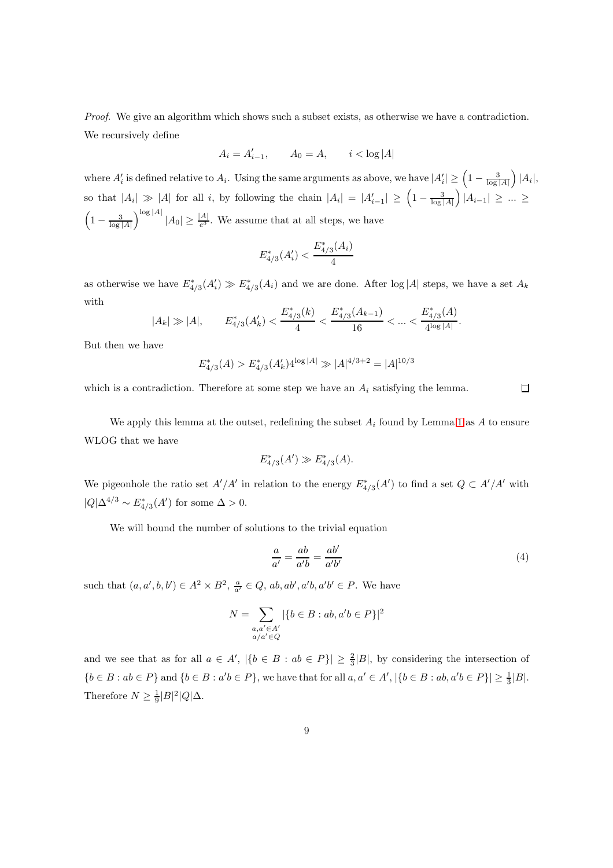Proof. We give an algorithm which shows such a subset exists, as otherwise we have a contradiction. We recursively define

$$
A_i = A'_{i-1}, \qquad A_0 = A, \qquad i < \log|A|
$$

where  $A'_i$  is defined relative to  $A_i$ . Using the same arguments as above, we have  $|A'_i| \geq \left(1 - \frac{3}{\log|A|}\right)|A_i|$ , so that  $|A_i| \gg |A|$  for all i, by following the chain  $|A_i| = |A'_{i-1}| \geq \left(1 - \frac{3}{\log|A|}\right)|A_{i-1}| \geq ... \geq$  $\left(1-\frac{3}{\log|A|}\right)^{\log|A|}|A_0|\geq \frac{|A|}{e^3}$ . We assume that at all steps, we have

$$
E_{4/3}^*(A_i') < \frac{E_{4/3}^*(A_i)}{4}
$$

as otherwise we have  $E_{4/3}^*(A_i') \gg E_{4/3}^*(A_i)$  and we are done. After  $\log|A|$  steps, we have a set  $A_k$ with

$$
|A_k| \gg |A|, \qquad E_{4/3}^*(A'_k) < \frac{E_{4/3}^*(k)}{4} < \frac{E_{4/3}^*(A_{k-1})}{16} < \ldots < \frac{E_{4/3}^*(A)}{4^{\log |A|}}.
$$

But then we have

$$
E_{4/3}^*(A) > E_{4/3}^*(A'_k)4^{\log|A|} \gg |A|^{4/3+2} = |A|^{10/3}
$$

which is a contradiction. Therefore at some step we have an  $A_i$  satisfying the lemma.

We apply this lemma at the outset, redefining the subset  $A_i$  found by Lemma [1](#page-7-0) as A to ensure WLOG that we have

$$
E_{4/3}^*(A') \gg E_{4/3}^*(A).
$$

We pigeonhole the ratio set  $A'/A'$  in relation to the energy  $E_{4/3}^*(A')$  to find a set  $Q \subset A'/A'$  with  $|Q|\Delta^{4/3} \sim E_{4/3}^*(A')$  for some  $\Delta > 0$ .

We will bound the number of solutions to the trivial equation

<span id="page-8-0"></span>
$$
\frac{a}{a'} = \frac{ab}{a'b} = \frac{ab'}{a'b'}
$$
\n<sup>(4)</sup>

 $\Box$ 

such that  $(a, a', b, b') \in A^2 \times B^2$ ,  $\frac{a}{a'} \in Q$ ,  $ab, ab', a'b, a'b' \in P$ . We have

$$
N = \sum_{\substack{a,a' \in A' \\ a/a' \in Q}} |\{b \in B : ab, a'b \in P\}|^2
$$

and we see that as for all  $a \in A'$ ,  $|\{b \in B : ab \in P\}| \geq \frac{2}{3}|B|$ , by considering the intersection of  ${b \in B : ab \in P}$  and  ${b \in B : a'b \in P}$ , we have that for all  $a, a' \in A', |{b \in B : ab, a'b \in P}| \geq \frac{1}{3}|B|$ . Therefore  $N \geq \frac{1}{9} |B|^2 |Q| \Delta$ .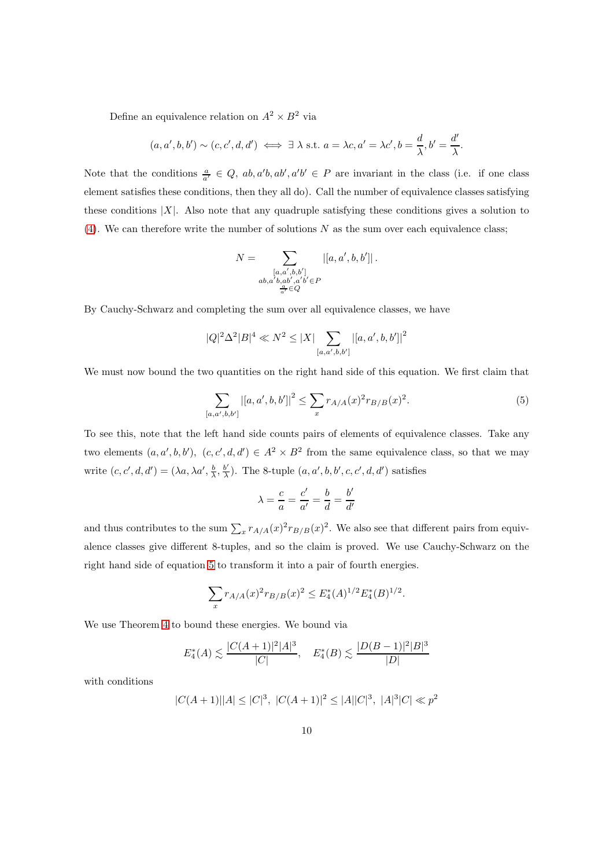Define an equivalence relation on  $A^2 \times B^2$  via

$$
(a, a', b, b') \sim (c, c', d, d') \iff \exists \lambda \text{ s.t. } a = \lambda c, a' = \lambda c', b = \frac{d}{\lambda}, b' = \frac{d'}{\lambda}.
$$

Note that the conditions  $\frac{a}{a'} \in Q$ ,  $ab, a'b, ab', a'b' \in P$  are invariant in the class (i.e. if one class element satisfies these conditions, then they all do). Call the number of equivalence classes satisfying these conditions  $|X|$ . Also note that any quadruple satisfying these conditions gives a solution to [\(4\)](#page-8-0). We can therefore write the number of solutions  $N$  as the sum over each equivalence class;

$$
N = \sum_{\substack{[a,a',b,b']\\ab,a'b,ab',a'b' \in P\\ \frac{a}{a'} \in Q}} |[a,a',b,b']|.
$$

By Cauchy-Schwarz and completing the sum over all equivalence classes, we have

$$
|Q|^2 \Delta^2 |B|^4 \ll N^2 \le |X| \sum_{[a,a',b,b']}|[a,a',b,b']|^2
$$

We must now bound the two quantities on the right hand side of this equation. We first claim that

<span id="page-9-0"></span>
$$
\sum_{[a,a',b,b']}\left|[a,a',b,b']\right|^2 \le \sum_x r_{A/A}(x)^2 r_{B/B}(x)^2. \tag{5}
$$

To see this, note that the left hand side counts pairs of elements of equivalence classes. Take any two elements  $(a, a', b, b')$ ,  $(c, c', d, d') \in A^2 \times B^2$  from the same equivalence class, so that we may write  $(c, c', d, d') = (\lambda a, \lambda a', \frac{b}{\lambda}, \frac{b'}{\lambda})$  $\frac{b'}{\lambda}$ ). The 8-tuple  $(a, a', b, b', c, c', d, d')$  satisfies

$$
\lambda = \frac{c}{a} = \frac{c'}{a'} = \frac{b}{d} = \frac{b'}{d'}
$$

and thus contributes to the sum  $\sum_x r_{A/A}(x)^2 r_{B/B}(x)^2$ . We also see that different pairs from equivalence classes give different 8-tuples, and so the claim is proved. We use Cauchy-Schwarz on the right hand side of equation [5](#page-9-0) to transform it into a pair of fourth energies.

$$
\sum_{x} r_{A/A}(x)^2 r_{B/B}(x)^2 \le E_4^*(A)^{1/2} E_4^*(B)^{1/2}.
$$

We use Theorem [4](#page-3-0) to bound these energies. We bound via

$$
E_4^*(A) \lesssim \frac{|C(A+1)|^2 |A|^3}{|C|}, \quad E_4^*(B) \lesssim \frac{|D(B-1)|^2 |B|^3}{|D|}
$$

with conditions

$$
|C(A+1)||A| \leq |C|^3, \ |C(A+1)|^2 \leq |A||C|^3, \ |A|^3|C| \ll p^2
$$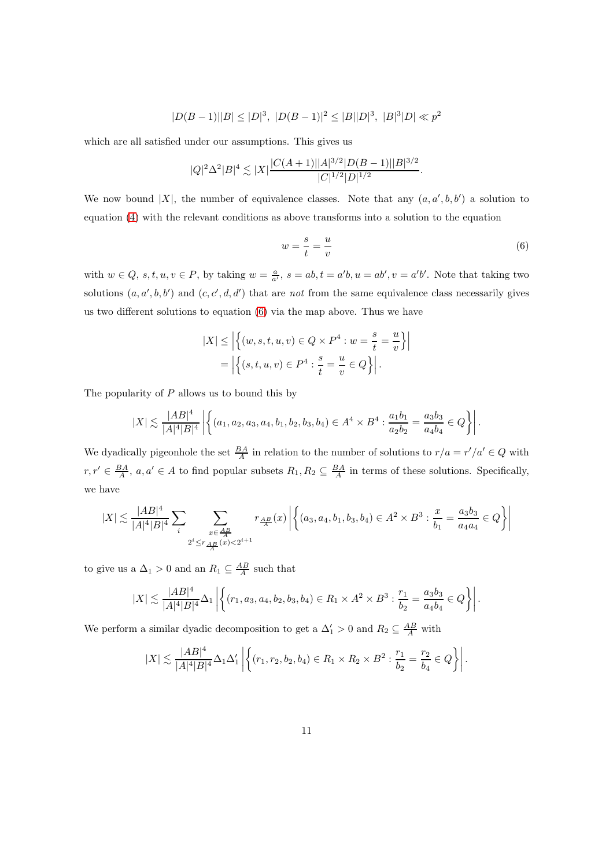$$
|D(B-1)||B|\leq |D|^3,\ |D(B-1)|^2\leq |B||D|^3,\ |B|^3|D|\ll p^2
$$

which are all satisfied under our assumptions. This gives us

$$
|Q|^2\Delta^2|B|^4 \lesssim |X|\frac{|C(A+1)||A|^{3/2}|D(B-1)||B|^{3/2}}{|C|^{1/2}|D|^{1/2}}.
$$

We now bound |X|, the number of equivalence classes. Note that any  $(a, a', b, b')$  a solution to equation [\(4\)](#page-8-0) with the relevant conditions as above transforms into a solution to the equation

<span id="page-10-0"></span>
$$
w = \frac{s}{t} = \frac{u}{v} \tag{6}
$$

with  $w \in Q$ ,  $s, t, u, v \in P$ , by taking  $w = \frac{a}{a'}$ ,  $s = ab$ ,  $t = a'b$ ,  $u = ab'$ ,  $v = a'b'$ . Note that taking two solutions  $(a, a', b, b')$  and  $(c, c', d, d')$  that are not from the same equivalence class necessarily gives us two different solutions to equation [\(6\)](#page-10-0) via the map above. Thus we have

$$
|X| \le \left| \left\{ (w, s, t, u, v) \in Q \times P^4 : w = \frac{s}{t} = \frac{u}{v} \right\} \right|
$$
  
=  $\left| \left\{ (s, t, u, v) \in P^4 : \frac{s}{t} = \frac{u}{v} \in Q \right\} \right|$ .

The popularity of  $P$  allows us to bound this by

$$
|X| \lesssim \frac{|AB|^4}{|A|^4|B|^4} \left| \left\{ (a_1, a_2, a_3, a_4, b_1, b_2, b_3, b_4) \in A^4 \times B^4 : \frac{a_1b_1}{a_2b_2} = \frac{a_3b_3}{a_4b_4} \in Q \right\} \right|.
$$

We dyadically pigeonhole the set  $\frac{BA}{A}$  in relation to the number of solutions to  $r/a = r'/a' \in Q$  with  $r, r' \in \frac{BA}{A}$ ,  $a, a' \in A$  to find popular subsets  $R_1, R_2 \subseteq \frac{BA}{A}$  in terms of these solutions. Specifically, we have

$$
|X| \lesssim \frac{|AB|^4}{|A|^4|B|^4} \sum_i \sum_{\substack{x \in \frac{AB}{A} \\ 2^i \leq r \frac{AB}{A}(x) < 2^{i+1}}} r_{\frac{AB}{A}}(x) \left| \left\{ (a_3, a_4, b_1, b_3, b_4) \in A^2 \times B^3 : \frac{x}{b_1} = \frac{a_3b_3}{a_4a_4} \in Q \right\} \right|
$$

to give us a  $\Delta_1 > 0$  and an  $R_1 \subseteq \frac{AB}{A}$  such that

$$
|X| \lesssim \frac{|AB|^4}{|A|^4|B|^4} \Delta_1 \left| \left\{ (r_1, a_3, a_4, b_2, b_3, b_4) \in R_1 \times A^2 \times B^3 : \frac{r_1}{b_2} = \frac{a_3 b_3}{a_4 b_4} \in Q \right\} \right|.
$$

We perform a similar dyadic decomposition to get a  $\Delta'_1 > 0$  and  $R_2 \subseteq \frac{AB}{A}$  with

$$
|X| \lesssim \frac{|AB|^4}{|A|^4|B|^4} \Delta_1 \Delta_1' \left| \left\{ (r_1, r_2, b_2, b_4) \in R_1 \times R_2 \times B^2 : \frac{r_1}{b_2} = \frac{r_2}{b_4} \in Q \right\} \right|.
$$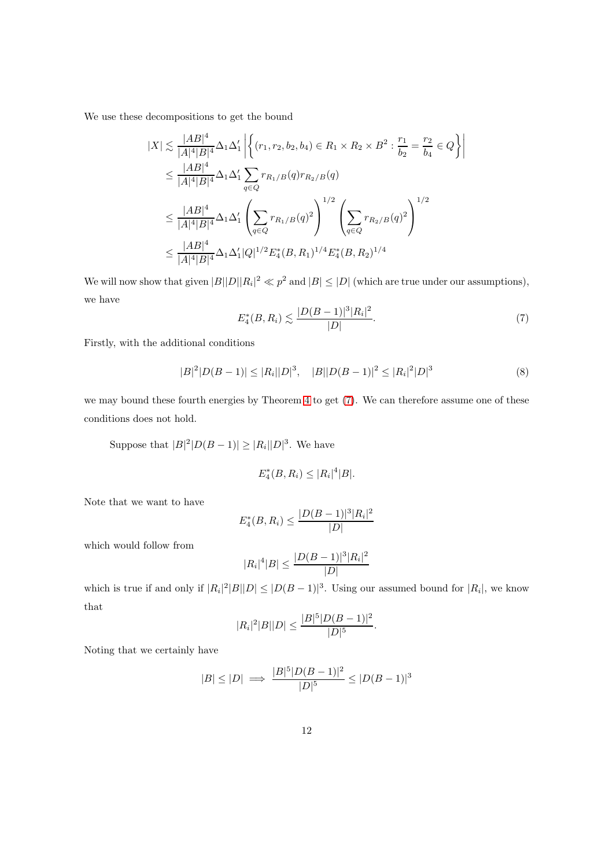We use these decompositions to get the bound

$$
|X| \lesssim \frac{|AB|^4}{|A|^4|B|^4} \Delta_1 \Delta_1' \left| \left\{ (r_1, r_2, b_2, b_4) \in R_1 \times R_2 \times B^2 : \frac{r_1}{b_2} = \frac{r_2}{b_4} \in Q \right\} \right|
$$
  
\n
$$
\leq \frac{|AB|^4}{|A|^4|B|^4} \Delta_1 \Delta_1' \sum_{q \in Q} r_{R_1/B}(q) r_{R_2/B}(q)
$$
  
\n
$$
\leq \frac{|AB|^4}{|A|^4|B|^4} \Delta_1 \Delta_1' \left( \sum_{q \in Q} r_{R_1/B}(q)^2 \right)^{1/2} \left( \sum_{q \in Q} r_{R_2/B}(q)^2 \right)^{1/2}
$$
  
\n
$$
\leq \frac{|AB|^4}{|A|^4|B|^4} \Delta_1 \Delta_1' |Q|^{1/2} E_4^*(B, R_1)^{1/4} E_4^*(B, R_2)^{1/4}
$$

We will now show that given  $|B||D||R_i|^2 \ll p^2$  and  $|B| \leq |D|$  (which are true under our assumptions), we have

<span id="page-11-0"></span>
$$
E_4^*(B, R_i) \lesssim \frac{|D(B-1)|^3 |R_i|^2}{|D|}.
$$
\n(7)

Firstly, with the additional conditions

<span id="page-11-1"></span>
$$
|B|^2|D(B-1)| \le |R_i||D|^3, \quad |B||D(B-1)|^2 \le |R_i|^2|D|^3 \tag{8}
$$

we may bound these fourth energies by Theorem [4](#page-3-0) to get [\(7\)](#page-11-0). We can therefore assume one of these conditions does not hold.

Suppose that  $|B|^2|D(B-1)| \geq |R_i||D|^3$ . We have

$$
E_4^*(B, R_i) \le |R_i|^4 |B|.
$$

Note that we want to have

$$
E_4^*(B, R_i) \le \frac{|D(B-1)|^3 |R_i|^2}{|D|}
$$

which would follow from

$$
|R_i|^4|B| \le \frac{|D(B-1)|^3|R_i|^2}{|D|}
$$

which is true if and only if  $|R_i|^2|B||D| \leq |D(B-1)|^3$ . Using our assumed bound for  $|R_i|$ , we know that

$$
|R_i|^2|B||D| \le \frac{|B|^5|D(B-1)|^2}{|D|^5}.
$$

Noting that we certainly have

$$
|B| \le |D| \implies \frac{|B|^5 |D(B-1)|^2}{|D|^5} \le |D(B-1)|^3
$$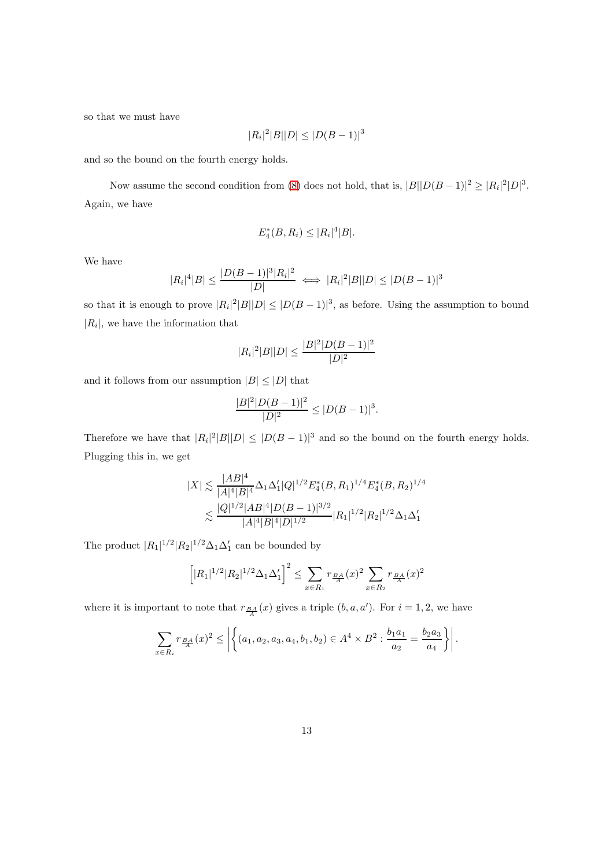so that we must have

$$
|R_i|^2|B||D| \le |D(B-1)|^3
$$

and so the bound on the fourth energy holds.

Now assume the second condition from [\(8\)](#page-11-1) does not hold, that is,  $|B||D(B-1)|^2 \geq |R_i|^2|D|^3$ . Again, we have

$$
E_4^*(B, R_i) \le |R_i|^4 |B|.
$$

We have

$$
|R_i|^4|B| \le \frac{|D(B-1)|^3|R_i|^2}{|D|} \iff |R_i|^2|B||D| \le |D(B-1)|^3
$$

so that it is enough to prove  $|R_i|^2|B||D| \leq |D(B-1)|^3$ , as before. Using the assumption to bound  $|R_i|$ , we have the information that

$$
|R_i|^2|B||D| \le \frac{|B|^2|D(B-1)|^2}{|D|^2}
$$

and it follows from our assumption  $|B| \leq |D|$  that

$$
\frac{|B|^2|D(B-1)|^2}{|D|^2}\leq |D(B-1)|^3.
$$

Therefore we have that  $|R_i|^2|B||D| \leq |D(B-1)|^3$  and so the bound on the fourth energy holds. Plugging this in, we get

$$
|X| \lesssim \frac{|AB|^4}{|A|^4|B|^4} \Delta_1 \Delta_1' |Q|^{1/2} E_4^*(B, R_1)^{1/4} E_4^*(B, R_2)^{1/4}
$$
  

$$
\lesssim \frac{|Q|^{1/2}|AB|^4|D(B-1)|^{3/2}}{|A|^4|B|^4|D|^{1/2}} |R_1|^{1/2} |R_2|^{1/2} \Delta_1 \Delta_1'
$$

The product  $|R_1|^{1/2}|R_2|^{1/2}\Delta_1\Delta_1'$  can be bounded by

$$
\left[|R_1|^{1/2}|R_2|^{1/2}\Delta_1\Delta_1'\right]^2 \le \sum_{x \in R_1} r_{\frac{BA}{A}}(x)^2 \sum_{x \in R_2} r_{\frac{BA}{A}}(x)^2
$$

where it is important to note that  $r_{BA}(x)$  gives a triple  $(b, a, a')$ . For  $i = 1, 2$ , we have

$$
\sum_{x \in R_i} r_{\frac{BA}{A}}(x)^2 \le \left| \left\{ (a_1, a_2, a_3, a_4, b_1, b_2) \in A^4 \times B^2 : \frac{b_1 a_1}{a_2} = \frac{b_2 a_3}{a_4} \right\} \right|.
$$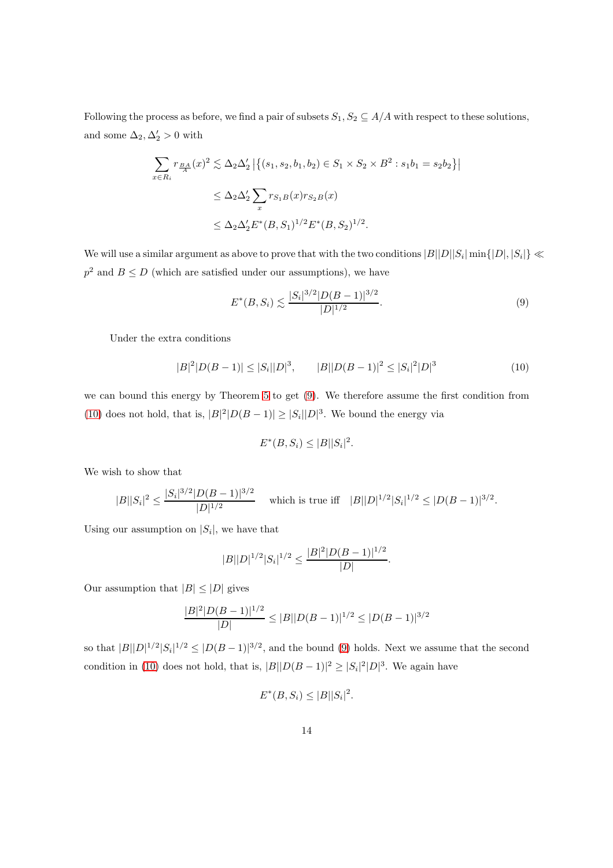Following the process as before, we find a pair of subsets  $S_1, S_2 \subseteq A/A$  with respect to these solutions, and some  $\Delta_2, \Delta'_2 > 0$  with

$$
\sum_{x \in R_i} r_{\frac{BA}{A}}(x)^2 \lesssim \Delta_2 \Delta_2' |\{(s_1, s_2, b_1, b_2) \in S_1 \times S_2 \times B^2 : s_1 b_1 = s_2 b_2\}|
$$
  

$$
\leq \Delta_2 \Delta_2' \sum_x r_{S_1B}(x) r_{S_2B}(x)
$$
  

$$
\leq \Delta_2 \Delta_2' E^*(B, S_1)^{1/2} E^*(B, S_2)^{1/2}.
$$

We will use a similar argument as above to prove that with the two conditions  $|B||D||S_i|\min\{|D|,|S_i|\}\ll$  $p<sup>2</sup>$  and  $B \le D$  (which are satisfied under our assumptions), we have

<span id="page-13-0"></span>
$$
E^*(B, S_i) \lesssim \frac{|S_i|^{3/2} |D(B-1)|^{3/2}}{|D|^{1/2}}.
$$
\n(9)

 $\overline{\phantom{a}}$ 

Under the extra conditions

 $\overline{\phantom{a}}$ 

<span id="page-13-1"></span>
$$
|B|^2|D(B-1)| \le |S_i||D|^3, \qquad |B||D(B-1)|^2 \le |S_i|^2|D|^3 \tag{10}
$$

we can bound this energy by Theorem [5](#page-3-1) to get [\(9\)](#page-13-0). We therefore assume the first condition from [\(10\)](#page-13-1) does not hold, that is,  $|B|^2|D(B-1)| \geq |S_i||D|^3$ . We bound the energy via

$$
E^*(B, S_i) \leq |B||S_i|^2.
$$

We wish to show that

$$
|B||S_i|^2 \le \frac{|S_i|^{3/2}|D(B-1)|^{3/2}}{|D|^{1/2}} \quad \text{ which is true iff} \quad |B||D|^{1/2}|S_i|^{1/2} \le |D(B-1)|^{3/2}.
$$

Using our assumption on  $|S_i|$ , we have that

$$
|B||D|^{1/2}|S_i|^{1/2} \le \frac{|B|^2|D(B-1)|^{1/2}}{|D|}.
$$

Our assumption that  $|B| \leq |D|$  gives

$$
\frac{|B|^2|D(B-1)|^{1/2}}{|D|} \leq |B||D(B-1)|^{1/2} \leq |D(B-1)|^{3/2}
$$

so that  $|B||D|^{1/2}|S_i|^{1/2} \leq |D(B-1)|^{3/2}$ , and the bound [\(9\)](#page-13-0) holds. Next we assume that the second condition in [\(10\)](#page-13-1) does not hold, that is,  $|B||D(B-1)|^2 \geq |S_i|^2|D|^3$ . We again have

$$
E^*(B, S_i) \leq |B||S_i|^2.
$$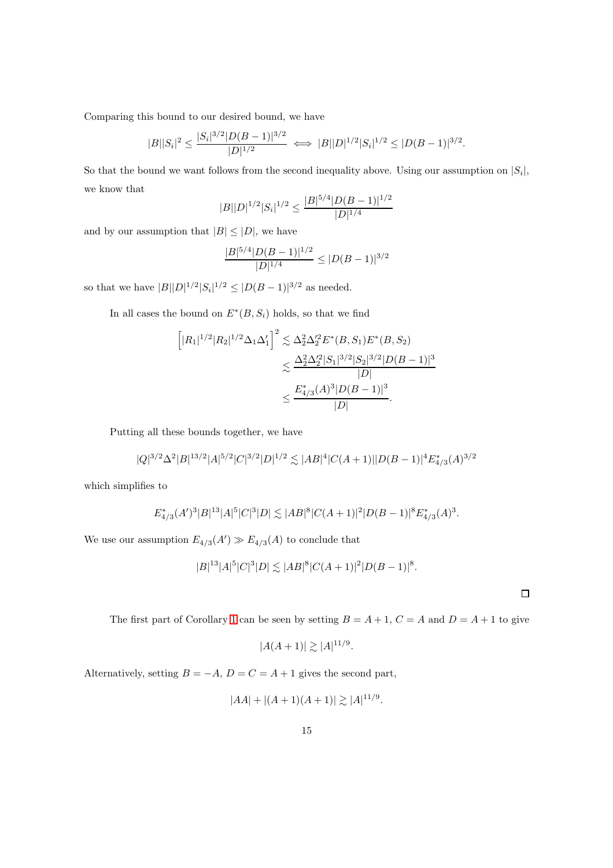Comparing this bound to our desired bound, we have

$$
|B||S_i|^2 \le \frac{|S_i|^{3/2}|D(B-1)|^{3/2}}{|D|^{1/2}} \iff |B||D|^{1/2}|S_i|^{1/2} \le |D(B-1)|^{3/2}.
$$

So that the bound we want follows from the second inequality above. Using our assumption on  $|S_i|$ , we know that

$$
|B||D|^{1/2}|S_i|^{1/2} \le \frac{|B|^{5/4}|D(B-1)|^{1/2}}{|D|^{1/4}}
$$

and by our assumption that  $|B| \leq |D|$ , we have

$$
\frac{|B|^{5/4}|D(B-1)|^{1/2}}{|D|^{1/4}} \le |D(B-1)|^{3/2}
$$

so that we have  $|B||D|^{1/2}|S_i|^{1/2} \leq |D(B-1)|^{3/2}$  as needed.

In all cases the bound on  $E^*(B, S_i)$  holds, so that we find

$$
\[|R_1|^{1/2}|R_2|^{1/2}\Delta_1\Delta_1']^2 \lesssim \Delta_2^2 \Delta_2'^2 E^*(B, S_1) E^*(B, S_2)
$$
  

$$
\lesssim \frac{\Delta_2^2 \Delta_2'^2 |S_1|^{3/2} |S_2|^{3/2} |D(B-1)|^3}{|D|}
$$
  

$$
\leq \frac{E_{4/3}^*(A)^3 |D(B-1)|^3}{|D|}.
$$

Putting all these bounds together, we have

$$
|Q|^{3/2}\Delta^2|B|^{13/2}|A|^{5/2}|C|^{3/2}|D|^{1/2}\lesssim |AB|^4|C(A+1)||D(B-1)|^4E^*_{4/3}(A)^{3/2}
$$

which simplifies to

$$
E_{4/3}^*(A')^3|B|^{13}|A|^5|C|^3|D|\lesssim |AB|^8|C(A+1)|^2|D(B-1)|^8E_{4/3}^*(A)^3.
$$

We use our assumption  $E_{4/3}(A') \gg E_{4/3}(A)$  to conclude that

$$
|B|^{13}|A|^{5}|C|^{3}|D| \lesssim |AB|^{8}|C(A+1)|^{2}|D(B-1)|^{8}.
$$

The first part of Corollary [1](#page-2-1) can be seen by setting  $B = A + 1$ ,  $C = A$  and  $D = A + 1$  to give

$$
|A(A+1)| \gtrsim |A|^{11/9}
$$
.

Alternatively, setting  $B = -A$ ,  $D = C = A + 1$  gives the second part,

$$
|AA| + |(A+1)(A+1)| \gtrsim |A|^{11/9}.
$$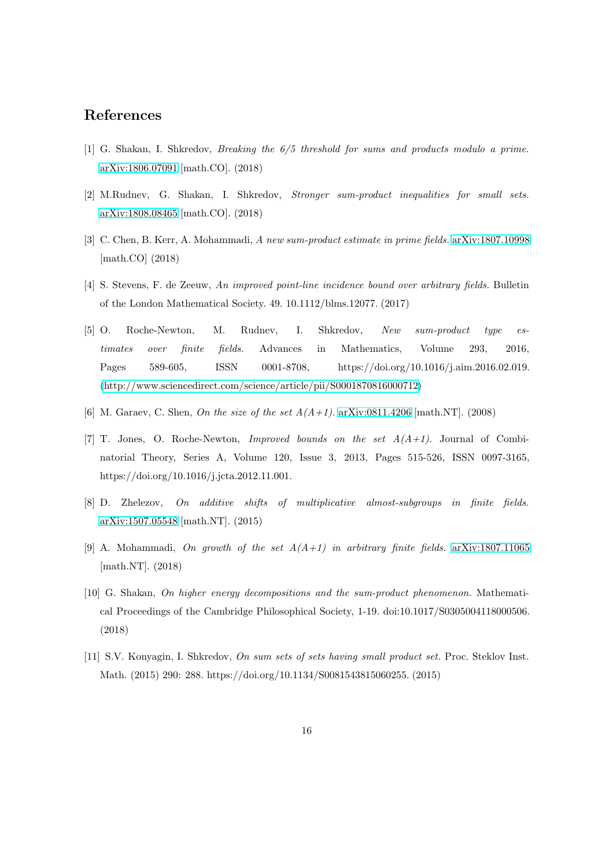### <span id="page-15-5"></span>References

- <span id="page-15-0"></span>[1] G. Shakan, I. Shkredov, Breaking the 6/5 threshold for sums and products modulo a prime. [arXiv:1806.07091](http://arxiv.org/abs/1806.07091) [math.CO]. (2018)
- <span id="page-15-6"></span>[2] M.Rudnev, G. Shakan, I. Shkredov, Stronger sum-product inequalities for small sets. [arXiv:1808.08465](http://arxiv.org/abs/1808.08465) [math.CO]. (2018)
- <span id="page-15-3"></span>[3] C. Chen, B. Kerr, A. Mohammadi, A new sum-product estimate in prime fields. [arXiv:1807.10998](http://arxiv.org/abs/1807.10998) [math.CO] (2018)
- <span id="page-15-4"></span>[4] S. Stevens, F. de Zeeuw, An improved point-line incidence bound over arbitrary fields. Bulletin of the London Mathematical Society. 49. 10.1112/blms.12077. (2017)
- [5] O. Roche-Newton, M. Rudnev, I. Shkredov, New sum-product type estimates over finite fields. Advances in Mathematics, Volume 293, 2016, Pages 589-605, ISSN 0001-8708, https://doi.org/10.1016/j.aim.2016.02.019. [\(http://www.sciencedirect.com/science/article/pii/S0001870816000712\)](http://www.sciencedirect.com/science/article/pii/S0001870816000712)
- <span id="page-15-8"></span><span id="page-15-7"></span>[6] M. Garaev, C. Shen, On the size of the set  $A(A+1)$ . [arXiv:0811.4206](http://arxiv.org/abs/0811.4206) [math.NT]. (2008)
- [7] T. Jones, O. Roche-Newton, *Improved bounds on the set*  $A(A+1)$ . Journal of Combinatorial Theory, Series A, Volume 120, Issue 3, 2013, Pages 515-526, ISSN 0097-3165, https://doi.org/10.1016/j.jcta.2012.11.001.
- <span id="page-15-10"></span><span id="page-15-9"></span>[8] D. Zhelezov, On additive shifts of multiplicative almost-subgroups in finite fields. [arXiv:1507.05548](http://arxiv.org/abs/1507.05548) [math.NT]. (2015)
- <span id="page-15-1"></span>[9] A. Mohammadi, On growth of the set  $A(A+1)$  in arbitrary finite fields. [arXiv:1807.11065](http://arxiv.org/abs/1807.11065) [math.NT]. (2018)
- [10] G. Shakan, On higher energy decompositions and the sum-product phenomenon. Mathematical Proceedings of the Cambridge Philosophical Society, 1-19. doi:10.1017/S0305004118000506. (2018)
- <span id="page-15-2"></span>[11] S.V. Konyagin, I. Shkredov, On sum sets of sets having small product set. Proc. Steklov Inst. Math. (2015) 290: 288. https://doi.org/10.1134/S0081543815060255. (2015)